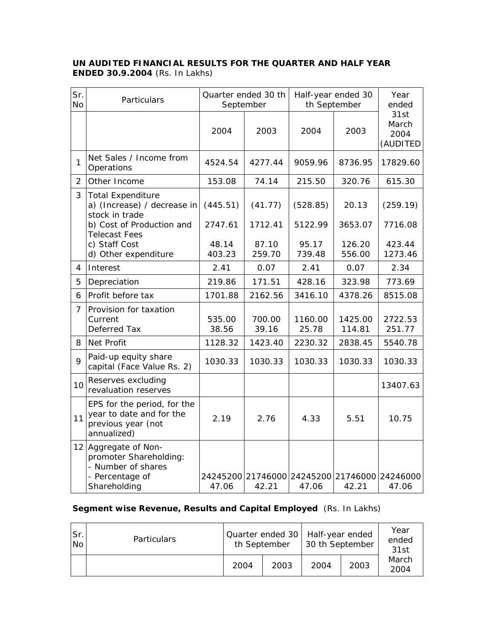## **UN AUDITED FINANCIAL RESULTS FOR THE QUARTER AND HALF YEAR ENDED 30.9.2004** (Rs. In Lakhs)

| Sr.<br><b>No</b> | Particulars                                                                                          | Quarter ended 30 th<br>September |                 | Half-year ended 30<br>th September  |                   | Year<br>ended                     |  |
|------------------|------------------------------------------------------------------------------------------------------|----------------------------------|-----------------|-------------------------------------|-------------------|-----------------------------------|--|
|                  |                                                                                                      | 2004                             | 2003            | 2004                                | 2003              | 31st<br>March<br>2004<br>(AUDITED |  |
| $\mathbf{1}$     | Net Sales / Income from<br>Operations                                                                | 4524.54                          | 4277.44         | 9059.96                             | 8736.95           | 17829.60                          |  |
| $\overline{2}$   | Other Income                                                                                         | 153.08                           | 74.14           | 215.50                              | 320.76            | 615.30                            |  |
| 3                | <b>Total Expenditure</b><br>a) (Increase) / decrease in<br>stock in trade                            | (445.51)                         | (41.77)         | (528.85)                            | 20.13             | (259.19)                          |  |
|                  | b) Cost of Production and<br><b>Telecast Fees</b>                                                    | 2747.61                          | 1712.41         | 5122.99                             | 3653.07           | 7716.08                           |  |
|                  | c) Staff Cost<br>d) Other expenditure                                                                | 48.14<br>403.23                  | 87.10<br>259.70 | 95.17<br>739.48                     | 126.20<br>556.00  | 423.44<br>1273.46                 |  |
| 4                | Interest                                                                                             | 2.41                             | 0.07            | 2.41                                | 0.07              | 2.34                              |  |
| 5                | Depreciation                                                                                         | 219.86                           | 171.51          | 428.16                              | 323.98            | 773.69                            |  |
| 6                | Profit before tax                                                                                    | 1701.88                          | 2162.56         | 3416.10                             | 4378.26           | 8515.08                           |  |
| $\overline{7}$   | Provision for taxation<br>Current<br>Deferred Tax                                                    | 535.00<br>38.56                  | 700.00<br>39.16 | 1160.00<br>25.78                    | 1425.00<br>114.81 | 2722.53<br>251.77                 |  |
| 8                | Net Profit                                                                                           | 1128.32                          | 1423.40         | 2230.32                             | 2838.45           | 5540.78                           |  |
| $\overline{Q}$   | Paid-up equity share<br>capital (Face Value Rs. 2)                                                   | 1030.33                          | 1030.33         | 1030.33                             | 1030.33           | 1030.33                           |  |
| 10               | Reserves excluding<br>revaluation reserves                                                           |                                  |                 |                                     |                   | 13407.63                          |  |
| 11               | EPS for the period, for the<br>year to date and for the<br>previous year (not<br>annualized)         | 2.19                             | 2.76            | 4.33                                | 5.51              | 10.75                             |  |
| 12               | Aggregate of Non-<br>promoter Shareholding:<br>- Number of shares<br>- Percentage of<br>Shareholding | 47.06                            | 42.21           | 24245200 21746000 24245200<br>47.06 | 21746000<br>42.21 | 24246000<br>47.06                 |  |

## **Segment wise Revenue, Results and Capital Employed** (Rs. In Lakhs)

| Sr.<br>No. | <b>Particulars</b> | Quarter ended 30   Half-year ended<br>th September |      | 30 th September |      | Year<br>ended<br>31st |
|------------|--------------------|----------------------------------------------------|------|-----------------|------|-----------------------|
|            |                    | 2004                                               | 2003 | 2004            | 2003 | March<br>2004         |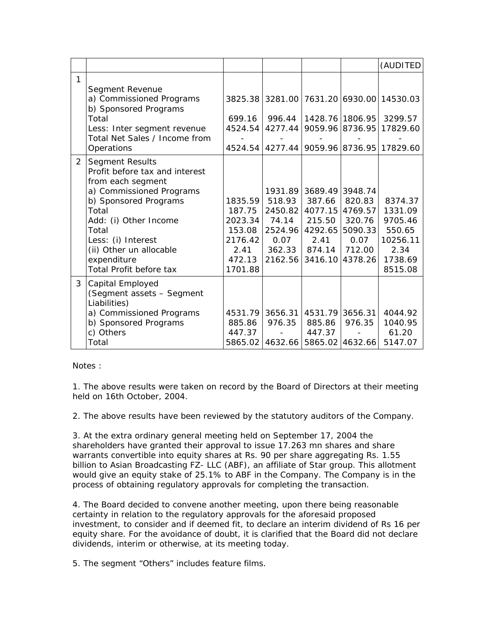|                |                                                                                                                                                                                                                                                                          |                                                                                |                                                                               |                                                                     |                                                                                        | (AUDITED                                                                                                    |
|----------------|--------------------------------------------------------------------------------------------------------------------------------------------------------------------------------------------------------------------------------------------------------------------------|--------------------------------------------------------------------------------|-------------------------------------------------------------------------------|---------------------------------------------------------------------|----------------------------------------------------------------------------------------|-------------------------------------------------------------------------------------------------------------|
| 1              | Segment Revenue<br>a) Commissioned Programs<br>b) Sponsored Programs<br>Total<br>Less: Inter segment revenue<br>Total Net Sales / Income from<br>Operations                                                                                                              | 699.16<br>4524.54<br>4524.54                                                   | 996.44<br>4277.44<br>4277.44                                                  | 9059.96                                                             | 8736.95                                                                                | 3825.38 3281.00 7631.20 6930.00 14530.03<br>1428.76 1806.95 3299.57<br>17829.60<br>9059.96 8736.95 17829.60 |
| $\overline{2}$ | <b>Segment Results</b><br>Profit before tax and interest<br>from each segment<br>a) Commissioned Programs<br>b) Sponsored Programs<br>Total<br>Add: (i) Other Income<br>Total<br>Less: (i) Interest<br>(ii) Other un allocable<br>expenditure<br>Total Profit before tax | 1835.59<br>187.75<br>2023.34<br>153.08<br>2176.42<br>2.41<br>472.13<br>1701.88 | 1931.89<br>518.93<br>2450.82<br>74.14<br>2524.96<br>0.07<br>362.33<br>2162.56 | 387.66<br>4077.15<br>215.50<br>4292.65<br>2.41<br>874.14<br>3416.10 | 3689.49 3948.74<br>820.83<br>4769.57<br>320.76<br>5090.33<br>0.07<br>712.00<br>4378.26 | 8374.37<br>1331.09<br>9705.46<br>550.65<br>10256.11<br>2.34<br>1738.69<br>8515.08                           |
| 3              | Capital Employed<br>(Segment assets - Segment<br>Liabilities)<br>a) Commissioned Programs<br>b) Sponsored Programs<br>c) Others<br>Total                                                                                                                                 | 4531.79<br>885.86<br>447.37<br>5865.02                                         | 3656.31<br>976.35<br>4632.66                                                  | 885.86<br>447.37                                                    | 4531.79 3656.31<br>976.35<br>5865.02 4632.66                                           | 4044.92<br>1040.95<br>61.20<br>5147.07                                                                      |

Notes :

1. The above results were taken on record by the Board of Directors at their meeting held on 16th October, 2004.

2. The above results have been reviewed by the statutory auditors of the Company.

3. At the extra ordinary general meeting held on September 17, 2004 the shareholders have granted their approval to issue 17.263 mn shares and share warrants convertible into equity shares at Rs. 90 per share aggregating Rs. 1.55 billion to Asian Broadcasting FZ- LLC (ABF), an affiliate of Star group. This allotment would give an equity stake of 25.1% to ABF in the Company. The Company is in the process of obtaining regulatory approvals for completing the transaction.

4. The Board decided to convene another meeting, upon there being reasonable certainty in relation to the regulatory approvals for the aforesaid proposed investment, to consider and if deemed fit, to declare an interim dividend of Rs 16 per equity share. For the avoidance of doubt, it is clarified that the Board did not declare dividends, interim or otherwise, at its meeting today.

5. The segment "Others" includes feature films.